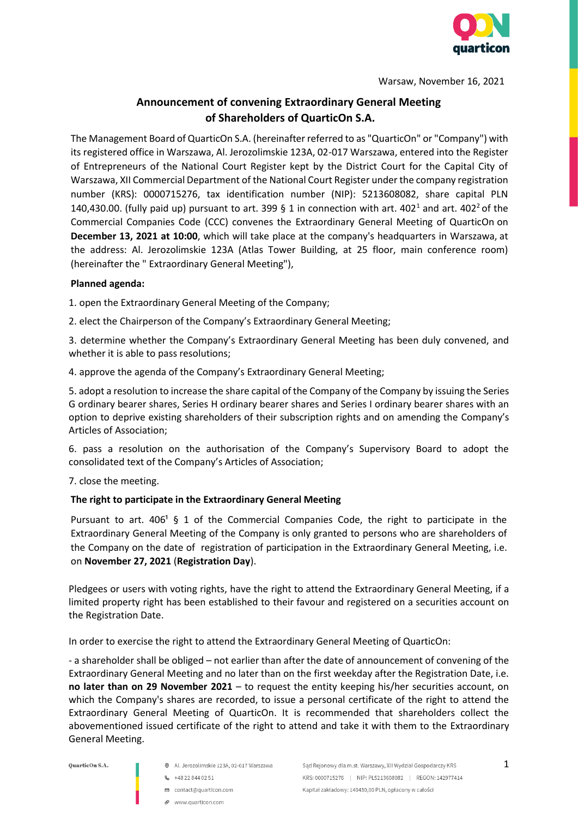

Warsaw, November 16, 2021

# **Announcement of convening Extraordinary General Meeting of Shareholders of QuarticOn S.A.**

The Management Board of QuarticOn S.A. (hereinafter referred to as "QuarticOn" or "Company") with its registered office in Warszawa, Al. Jerozolimskie 123A, 02-017 Warszawa, entered into the Register of Entrepreneurs of the National Court Register kept by the District Court for the Capital City of Warszawa, XII Commercial Department of the National Court Register under the company registration number (KRS): 0000715276, tax identification number (NIP): 5213608082, share capital PLN 140,430.00. (fully paid up) pursuant to art. 399 § 1 in connection with art. 402<sup>1</sup> and art. 402<sup>2</sup> of the Commercial Companies Code (CCC) convenes the Extraordinary General Meeting of QuarticOn on **December 13, 2021 at 10:00**, which will take place at the company's headquarters in Warszawa, at the address: Al. Jerozolimskie 123A (Atlas Tower Building, at 25 floor, main conference room) (hereinafter the " Extraordinary General Meeting"),

### **Planned agenda:**

1. open the Extraordinary General Meeting of the Company;

2. elect the Chairperson of the Company's Extraordinary General Meeting;

3. determine whether the Company's Extraordinary General Meeting has been duly convened, and whether it is able to pass resolutions;

4. approve the agenda of the Company's Extraordinary General Meeting;

5. adopt a resolution to increase the share capital of the Company of the Company by issuing the Series G ordinary bearer shares, Series H ordinary bearer shares and Series I ordinary bearer shares with an option to deprive existing shareholders of their subscription rights and on amending the Company's Articles of Association;

6. pass a resolution on the authorisation of the Company's Supervisory Board to adopt the consolidated text of the Company's Articles of Association;

7. close the meeting.

### **The right to participate in the Extraordinary General Meeting**

Pursuant to art.  $406<sup>1</sup> \S 1$  of the Commercial Companies Code, the right to participate in the Extraordinary General Meeting of the Company is only granted to persons who are shareholders of the Company on the date of registration of participation in the Extraordinary General Meeting, i.e. on **November 27, 2021** (**Registration Day**).

Pledgees or users with voting rights, have the right to attend the Extraordinary General Meeting, if a limited property right has been established to their favour and registered on a securities account on the Registration Date.

In order to exercise the right to attend the Extraordinary General Meeting of QuarticOn:

- a shareholder shall be obliged – not earlier than after the date of announcement of convening of the Extraordinary General Meeting and no later than on the first weekday after the Registration Date, i.e. **no later than on 29 November 2021** – to request the entity keeping his/her securities account, on which the Company's shares are recorded, to issue a personal certificate of the right to attend the Extraordinary General Meeting of QuarticOn. It is recommended that shareholders collect the abovementioned issued certificate of the right to attend and take it with them to the Extraordinary General Meeting.

- Al. Jerozolimskie 123A, 02-017 Warszawa
- **6** +48 22 844 02 51
- □ contact@quarticon.com
- P www.quarticon.com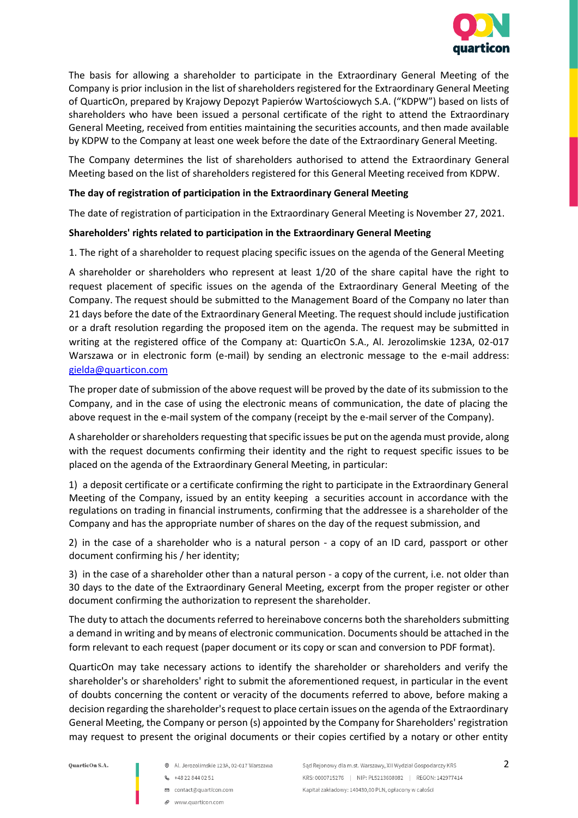

The basis for allowing a shareholder to participate in the Extraordinary General Meeting of the Company is prior inclusion in the list of shareholders registered for the Extraordinary General Meeting of QuarticOn, prepared by Krajowy Depozyt Papierów Wartościowych S.A. ("KDPW") based on lists of shareholders who have been issued a personal certificate of the right to attend the Extraordinary General Meeting, received from entities maintaining the securities accounts, and then made available by KDPW to the Company at least one week before the date of the Extraordinary General Meeting.

The Company determines the list of shareholders authorised to attend the Extraordinary General Meeting based on the list of shareholders registered for this General Meeting received from KDPW.

### **The day of registration of participation in the Extraordinary General Meeting**

The date of registration of participation in the Extraordinary General Meeting is November 27, 2021.

#### **Shareholders' rights related to participation in the Extraordinary General Meeting**

1. The right of a shareholder to request placing specific issues on the agenda of the General Meeting

A shareholder or shareholders who represent at least 1/20 of the share capital have the right to request placement of specific issues on the agenda of the Extraordinary General Meeting of the Company. The request should be submitted to the Management Board of the Company no later than 21 days before the date of the Extraordinary General Meeting. The request should include justification or a draft resolution regarding the proposed item on the agenda. The request may be submitted in writing at the registered office of the Company at: QuarticOn S.A., Al. Jerozolimskie 123A, 02-017 Warszawa or in electronic form (e-mail) by sending an electronic message to the e-mail address: [gielda@quarticon.com](mailto:gielda@quarticon.com)

The proper date of submission of the above request will be proved by the date of its submission to the Company, and in the case of using the electronic means of communication, the date of placing the above request in the e-mail system of the company (receipt by the e-mail server of the Company).

A shareholder or shareholders requesting that specific issues be put on the agenda must provide, along with the request documents confirming their identity and the right to request specific issues to be placed on the agenda of the Extraordinary General Meeting, in particular:

1) a deposit certificate or a certificate confirming the right to participate in the Extraordinary General Meeting of the Company, issued by an entity keeping a securities account in accordance with the regulations on trading in financial instruments, confirming that the addressee is a shareholder of the Company and has the appropriate number of shares on the day of the request submission, and

2) in the case of a shareholder who is a natural person - a copy of an ID card, passport or other document confirming his / her identity;

3) in the case of a shareholder other than a natural person - a copy of the current, i.e. not older than 30 days to the date of the Extraordinary General Meeting, excerpt from the proper register or other document confirming the authorization to represent the shareholder.

The duty to attach the documents referred to hereinabove concerns both the shareholders submitting a demand in writing and by means of electronic communication. Documents should be attached in the form relevant to each request (paper document or its copy or scan and conversion to PDF format).

QuarticOn may take necessary actions to identify the shareholder or shareholders and verify the shareholder's or shareholders' right to submit the aforementioned request, in particular in the event of doubts concerning the content or veracity of the documents referred to above, before making a decision regarding the shareholder's request to place certain issues on the agenda of the Extraordinary General Meeting, the Company or person (s) appointed by the Company for Shareholders' registration may request to present the original documents or their copies certified by a notary or other entity

- @ Al. Jerozolimskie 123A, 02-017 Warszawa
- $-48228440251$
- □ contact@quarticon.com
- P www.quarticon.com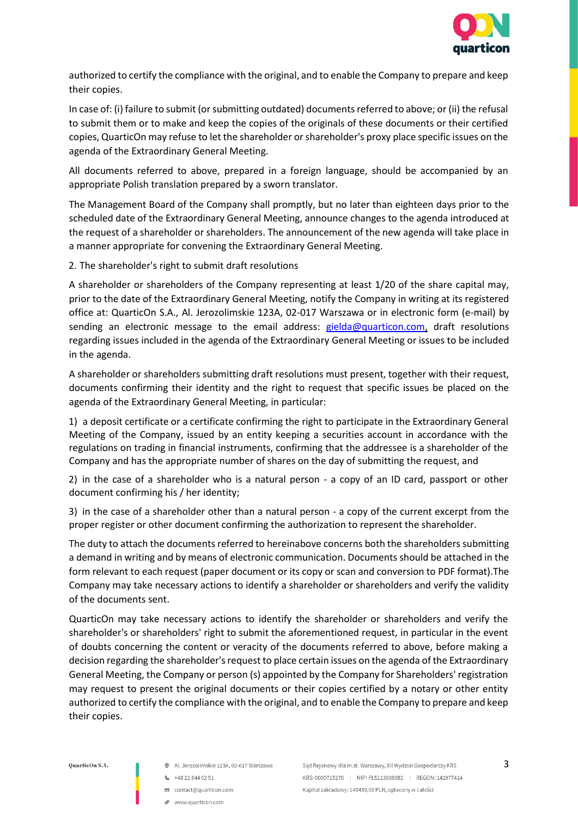

authorized to certify the compliance with the original, and to enable the Company to prepare and keep their copies.

In case of: (i) failure to submit (or submitting outdated) documents referred to above; or (ii) the refusal to submit them or to make and keep the copies of the originals of these documents or their certified copies, QuarticOn may refuse to let the shareholder or shareholder's proxy place specific issues on the agenda of the Extraordinary General Meeting.

All documents referred to above, prepared in a foreign language, should be accompanied by an appropriate Polish translation prepared by a sworn translator.

The Management Board of the Company shall promptly, but no later than eighteen days prior to the scheduled date of the Extraordinary General Meeting, announce changes to the agenda introduced at the request of a shareholder or shareholders. The announcement of the new agenda will take place in a manner appropriate for convening the Extraordinary General Meeting.

2. The shareholder's right to submit draft resolutions

A shareholder or shareholders of the Company representing at least 1/20 of the share capital may, prior to the date of the Extraordinary General Meeting, notify the Company in writing at its registered office at: QuarticOn S.A., Al. Jerozolimskie 123A, 02-017 Warszawa or in electronic form (e-mail) by sending an electronic message to the email address: gielda@quarticon.com, draft resolutions regarding issues included in the agenda of the Extraordinary General Meeting or issues to be included in the agenda.

A shareholder or shareholders submitting draft resolutions must present, together with their request, documents confirming their identity and the right to request that specific issues be placed on the agenda of the Extraordinary General Meeting, in particular:

1) a deposit certificate or a certificate confirming the right to participate in the Extraordinary General Meeting of the Company, issued by an entity keeping a securities account in accordance with the regulations on trading in financial instruments, confirming that the addressee is a shareholder of the Company and has the appropriate number of shares on the day of submitting the request, and

2) in the case of a shareholder who is a natural person - a copy of an ID card, passport or other document confirming his / her identity;

3) in the case of a shareholder other than a natural person - a copy of the current excerpt from the proper register or other document confirming the authorization to represent the shareholder.

The duty to attach the documents referred to hereinabove concerns both the shareholders submitting a demand in writing and by means of electronic communication. Documents should be attached in the form relevant to each request (paper document or its copy or scan and conversion to PDF format).The Company may take necessary actions to identify a shareholder or shareholders and verify the validity of the documents sent.

QuarticOn may take necessary actions to identify the shareholder or shareholders and verify the shareholder's or shareholders' right to submit the aforementioned request, in particular in the event of doubts concerning the content or veracity of the documents referred to above, before making a decision regarding the shareholder's request to place certain issues on the agenda of the Extraordinary General Meeting, the Company or person (s) appointed by the Company for Shareholders' registration may request to present the original documents or their copies certified by a notary or other entity authorized to certify the compliance with the original, and to enable the Company to prepare and keep their copies.

- @ Al. Jerozolimskie 123A, 02-017 Warszawa
- $-48228440251$
- □ contact@quarticon.com
- www.guarticon.com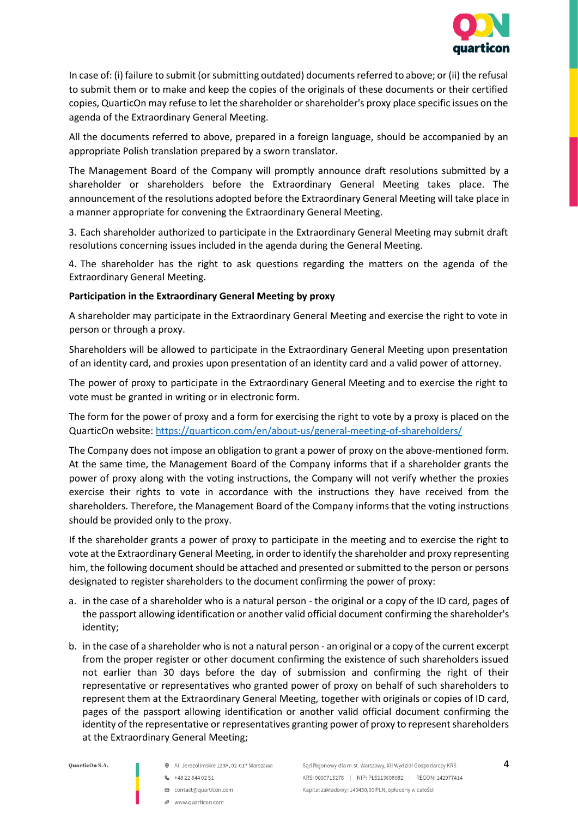

In case of: (i) failure to submit (or submitting outdated) documents referred to above; or (ii) the refusal to submit them or to make and keep the copies of the originals of these documents or their certified copies, QuarticOn may refuse to let the shareholder or shareholder's proxy place specific issues on the agenda of the Extraordinary General Meeting.

All the documents referred to above, prepared in a foreign language, should be accompanied by an appropriate Polish translation prepared by a sworn translator.

The Management Board of the Company will promptly announce draft resolutions submitted by a shareholder or shareholders before the Extraordinary General Meeting takes place. The announcement of the resolutions adopted before the Extraordinary General Meeting will take place in a manner appropriate for convening the Extraordinary General Meeting.

3. Each shareholder authorized to participate in the Extraordinary General Meeting may submit draft resolutions concerning issues included in the agenda during the General Meeting.

4. The shareholder has the right to ask questions regarding the matters on the agenda of the Extraordinary General Meeting.

#### **Participation in the Extraordinary General Meeting by proxy**

A shareholder may participate in the Extraordinary General Meeting and exercise the right to vote in person or through a proxy.

Shareholders will be allowed to participate in the Extraordinary General Meeting upon presentation of an identity card, and proxies upon presentation of an identity card and a valid power of attorney.

The power of proxy to participate in the Extraordinary General Meeting and to exercise the right to vote must be granted in writing or in electronic form.

The form for the power of proxy and a form for exercising the right to vote by a proxy is placed on the QuarticOn website: <https://quarticon.com/en/about-us/general-meeting-of-shareholders/>

The Company does not impose an obligation to grant a power of proxy on the above-mentioned form. At the same time, the Management Board of the Company informs that if a shareholder grants the power of proxy along with the voting instructions, the Company will not verify whether the proxies exercise their rights to vote in accordance with the instructions they have received from the shareholders. Therefore, the Management Board of the Company informs that the voting instructions should be provided only to the proxy.

If the shareholder grants a power of proxy to participate in the meeting and to exercise the right to vote at the Extraordinary General Meeting, in order to identify the shareholder and proxy representing him, the following document should be attached and presented or submitted to the person or persons designated to register shareholders to the document confirming the power of proxy:

- a. in the case of a shareholder who is a natural person the original or a copy of the ID card, pages of the passport allowing identification or another valid official document confirming the shareholder's identity;
- b. in the case of a shareholder who is not a natural person an original or a copy of the current excerpt from the proper register or other document confirming the existence of such shareholders issued not earlier than 30 days before the day of submission and confirming the right of their representative or representatives who granted power of proxy on behalf of such shareholders to represent them at the Extraordinary General Meeting, together with originals or copies of ID card, pages of the passport allowing identification or another valid official document confirming the identity of the representative or representatives granting power of proxy to represent shareholders at the Extraordinary General Meeting;

- @ Al. Jerozolimskie 123A, 02-017 Warszawa
- $-48228440251$
- □ contact@quarticon.com
- P www.quarticon.com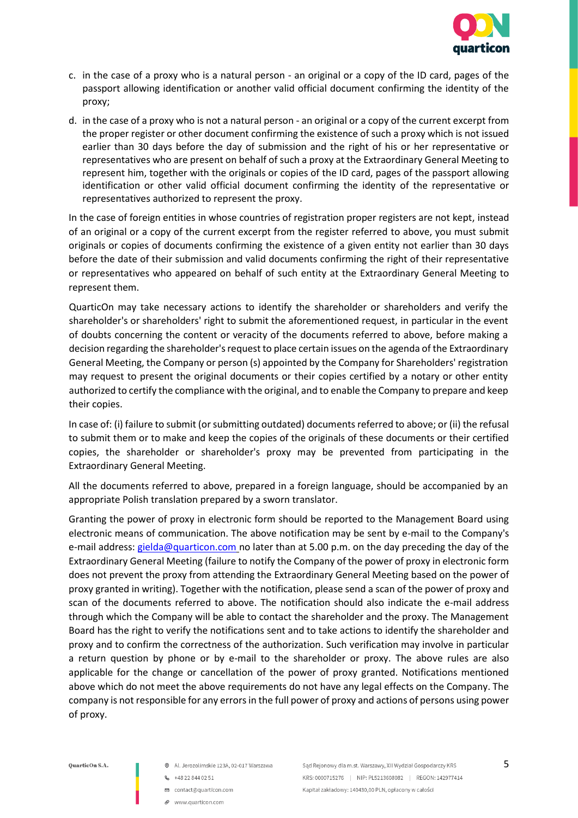

- c. in the case of a proxy who is a natural person an original or a copy of the ID card, pages of the passport allowing identification or another valid official document confirming the identity of the proxy;
- d. in the case of a proxy who is not a natural person an original or a copy of the current excerpt from the proper register or other document confirming the existence of such a proxy which is not issued earlier than 30 days before the day of submission and the right of his or her representative or representatives who are present on behalf of such a proxy at the Extraordinary General Meeting to represent him, together with the originals or copies of the ID card, pages of the passport allowing identification or other valid official document confirming the identity of the representative or representatives authorized to represent the proxy.

In the case of foreign entities in whose countries of registration proper registers are not kept, instead of an original or a copy of the current excerpt from the register referred to above, you must submit originals or copies of documents confirming the existence of a given entity not earlier than 30 days before the date of their submission and valid documents confirming the right of their representative or representatives who appeared on behalf of such entity at the Extraordinary General Meeting to represent them.

QuarticOn may take necessary actions to identify the shareholder or shareholders and verify the shareholder's or shareholders' right to submit the aforementioned request, in particular in the event of doubts concerning the content or veracity of the documents referred to above, before making a decision regarding the shareholder's request to place certain issues on the agenda of the Extraordinary General Meeting, the Company or person (s) appointed by the Company for Shareholders' registration may request to present the original documents or their copies certified by a notary or other entity authorized to certify the compliance with the original, and to enable the Company to prepare and keep their copies.

In case of: (i) failure to submit (or submitting outdated) documents referred to above; or (ii) the refusal to submit them or to make and keep the copies of the originals of these documents or their certified copies, the shareholder or shareholder's proxy may be prevented from participating in the Extraordinary General Meeting.

All the documents referred to above, prepared in a foreign language, should be accompanied by an appropriate Polish translation prepared by a sworn translator.

Granting the power of proxy in electronic form should be reported to the Management Board using electronic means of communication. The above notification may be sent by e-mail to the Company's e-mail address: [gielda@quarticon.com](mailto:gielda@quarticon.com) no later than at 5.00 p.m. on the day preceding the day of the Extraordinary General Meeting (failure to notify the Company of the power of proxy in electronic form does not prevent the proxy from attending the Extraordinary General Meeting based on the power of proxy granted in writing). Together with the notification, please send a scan of the power of proxy and scan of the documents referred to above. The notification should also indicate the e-mail address through which the Company will be able to contact the shareholder and the proxy. The Management Board has the right to verify the notifications sent and to take actions to identify the shareholder and proxy and to confirm the correctness of the authorization. Such verification may involve in particular a return question by phone or by e-mail to the shareholder or proxy. The above rules are also applicable for the change or cancellation of the power of proxy granted. Notifications mentioned above which do not meet the above requirements do not have any legal effects on the Company. The company is not responsible for any errors in the full power of proxy and actions of persons using power of proxy.

- @ Al. Jerozolimskie 123A, 02-017 Warszawa
- $-48228440251$
- □ contact@quarticon.com
- www.guarticon.com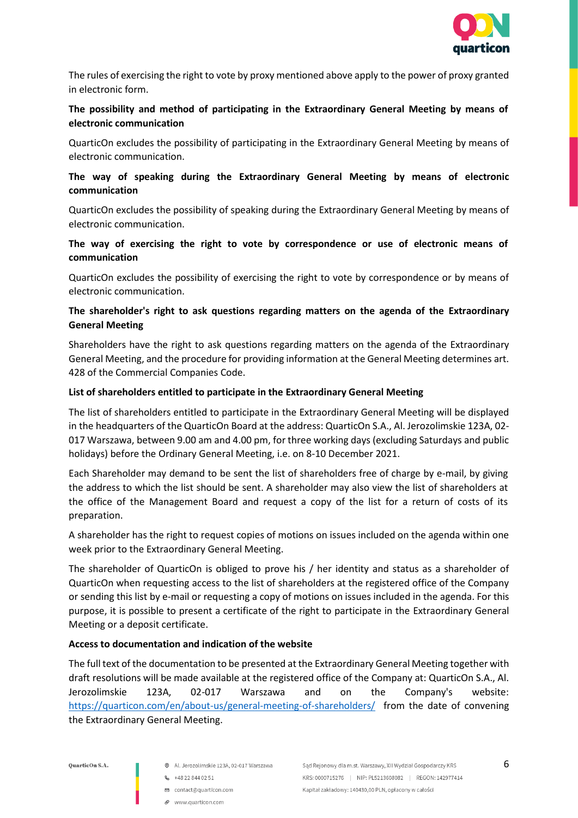

The rules of exercising the right to vote by proxy mentioned above apply to the power of proxy granted in electronic form.

# **The possibility and method of participating in the Extraordinary General Meeting by means of electronic communication**

QuarticOn excludes the possibility of participating in the Extraordinary General Meeting by means of electronic communication.

### **The way of speaking during the Extraordinary General Meeting by means of electronic communication**

QuarticOn excludes the possibility of speaking during the Extraordinary General Meeting by means of electronic communication.

### **The way of exercising the right to vote by correspondence or use of electronic means of communication**

QuarticOn excludes the possibility of exercising the right to vote by correspondence or by means of electronic communication.

### **The shareholder's right to ask questions regarding matters on the agenda of the Extraordinary General Meeting**

Shareholders have the right to ask questions regarding matters on the agenda of the Extraordinary General Meeting, and the procedure for providing information at the General Meeting determines art. 428 of the Commercial Companies Code.

### **List of shareholders entitled to participate in the Extraordinary General Meeting**

The list of shareholders entitled to participate in the Extraordinary General Meeting will be displayed in the headquarters of the QuarticOn Board at the address: QuarticOn S.A., Al. Jerozolimskie 123A, 02- 017 Warszawa, between 9.00 am and 4.00 pm, for three working days (excluding Saturdays and public holidays) before the Ordinary General Meeting, i.e. on 8-10 December 2021.

Each Shareholder may demand to be sent the list of shareholders free of charge by e-mail, by giving the address to which the list should be sent. A shareholder may also view the list of shareholders at the office of the Management Board and request a copy of the list for a return of costs of its preparation.

A shareholder has the right to request copies of motions on issues included on the agenda within one week prior to the Extraordinary General Meeting.

The shareholder of QuarticOn is obliged to prove his / her identity and status as a shareholder of QuarticOn when requesting access to the list of shareholders at the registered office of the Company or sending this list by e-mail or requesting a copy of motions on issues included in the agenda. For this purpose, it is possible to present a certificate of the right to participate in the Extraordinary General Meeting or a deposit certificate.

# **Access to documentation and indication of the website**

The full text of the documentation to be presented at the Extraordinary General Meeting together with draft resolutions will be made available at the registered office of the Company at: QuarticOn S.A., Al. Jerozolimskie 123A, 02-017 Warszawa and on the Company's website: <https://quarticon.com/en/about-us/general-meeting-of-shareholders/> from the date of convening the Extraordinary General Meeting.

- @ Al. Jerozolimskie 123A, 02-017 Warszawa
- $-48228440251$
- □ contact@quarticon.com
- www.guarticon.com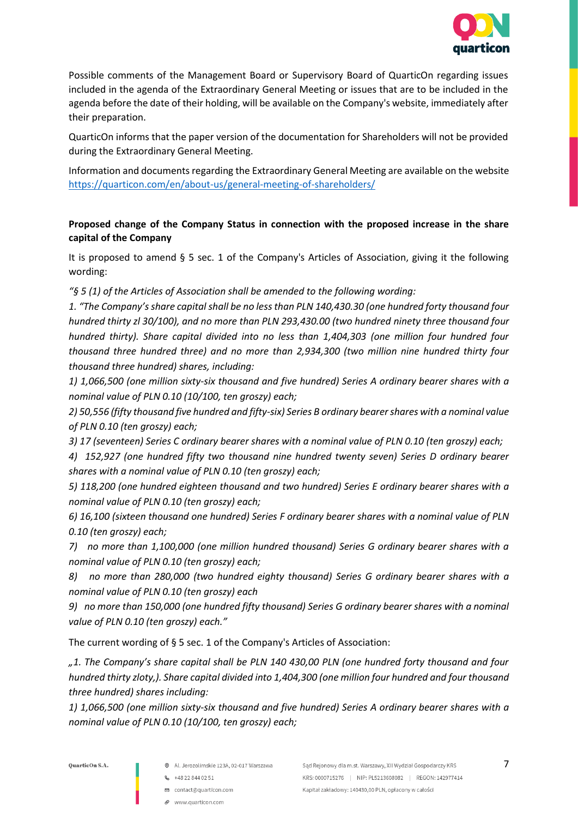

Possible comments of the Management Board or Supervisory Board of QuarticOn regarding issues included in the agenda of the Extraordinary General Meeting or issues that are to be included in the agenda before the date of their holding, will be available on the Company's website, immediately after their preparation.

QuarticOn informs that the paper version of the documentation for Shareholders will not be provided during the Extraordinary General Meeting.

Information and documents regarding the Extraordinary General Meeting are available on the website <https://quarticon.com/en/about-us/general-meeting-of-shareholders/>

# **Proposed change of the Company Status in connection with the proposed increase in the share capital of the Company**

It is proposed to amend § 5 sec. 1 of the Company's Articles of Association, giving it the following wording:

*"§ 5 (1) of the Articles of Association shall be amended to the following wording:* 

*1. "The Company's share capital shall be no less than PLN 140,430.30 (one hundred forty thousand four hundred thirty zl 30/100), and no more than PLN 293,430.00 (two hundred ninety three thousand four hundred thirty). Share capital divided into no less than 1,404,303 (one million four hundred four thousand three hundred three) and no more than 2,934,300 (two million nine hundred thirty four thousand three hundred) shares, including:*

*1) 1,066,500 (one million sixty-six thousand and five hundred) Series A ordinary bearer shares with a nominal value of PLN 0.10 (10/100, ten groszy) each;*

*2) 50,556 (fifty thousand five hundred and fifty-six) Series B ordinary bearer shares with a nominal value of PLN 0.10 (ten groszy) each;*

*3) 17 (seventeen) Series C ordinary bearer shares with a nominal value of PLN 0.10 (ten groszy) each;*

*4) 152,927 (one hundred fifty two thousand nine hundred twenty seven) Series D ordinary bearer shares with a nominal value of PLN 0.10 (ten groszy) each;* 

*5) 118,200 (one hundred eighteen thousand and two hundred) Series E ordinary bearer shares with a nominal value of PLN 0.10 (ten groszy) each;*

*6) 16,100 (sixteen thousand one hundred) Series F ordinary bearer shares with a nominal value of PLN 0.10 (ten groszy) each;*

*7) no more than 1,100,000 (one million hundred thousand) Series G ordinary bearer shares with a nominal value of PLN 0.10 (ten groszy) each;*

*8) no more than 280,000 (two hundred eighty thousand) Series G ordinary bearer shares with a nominal value of PLN 0.10 (ten groszy) each* 

*9) no more than 150,000 (one hundred fifty thousand) Series G ordinary bearer shares with a nominal value of PLN 0.10 (ten groszy) each."*

The current wording of § 5 sec. 1 of the Company's Articles of Association:

*"1. The Company's share capital shall be PLN 140 430,00 PLN (one hundred forty thousand and four hundred thirty zloty,). Share capital divided into 1,404,300 (one million four hundred and four thousand three hundred) shares including:* 

*1) 1,066,500 (one million sixty-six thousand and five hundred) Series A ordinary bearer shares with a nominal value of PLN 0.10 (10/100, ten groszy) each;* 

- @ Al. Jerozolimskie 123A, 02-017 Warszawa
- $-48228440251$
- □ contact@quarticon.com
- P www.quarticon.com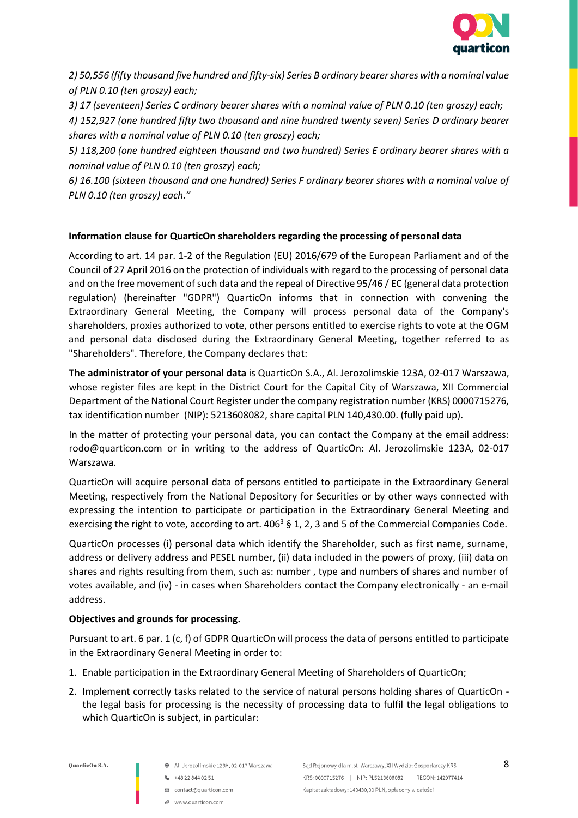

*2) 50,556 (fifty thousand five hundred and fifty-six) Series B ordinary bearer shares with a nominal value of PLN 0.10 (ten groszy) each;* 

*3) 17 (seventeen) Series C ordinary bearer shares with a nominal value of PLN 0.10 (ten groszy) each;*

*4) 152,927 (one hundred fifty two thousand and nine hundred twenty seven) Series D ordinary bearer shares with a nominal value of PLN 0.10 (ten groszy) each;* 

*5) 118,200 (one hundred eighteen thousand and two hundred) Series E ordinary bearer shares with a nominal value of PLN 0.10 (ten groszy) each;* 

*6) 16.100 (sixteen thousand and one hundred) Series F ordinary bearer shares with a nominal value of PLN 0.10 (ten groszy) each."*

# **Information clause for QuarticOn shareholders regarding the processing of personal data**

According to art. 14 par. 1-2 of the Regulation (EU) 2016/679 of the European Parliament and of the Council of 27 April 2016 on the protection of individuals with regard to the processing of personal data and on the free movement of such data and the repeal of Directive 95/46 / EC (general data protection regulation) (hereinafter "GDPR") QuarticOn informs that in connection with convening the Extraordinary General Meeting, the Company will process personal data of the Company's shareholders, proxies authorized to vote, other persons entitled to exercise rights to vote at the OGM and personal data disclosed during the Extraordinary General Meeting, together referred to as "Shareholders". Therefore, the Company declares that:

**The administrator of your personal data** is QuarticOn S.A., Al. Jerozolimskie 123A, 02-017 Warszawa, whose register files are kept in the District Court for the Capital City of Warszawa, XII Commercial Department of the National Court Register under the company registration number (KRS) 0000715276, tax identification number (NIP): 5213608082, share capital PLN 140,430.00. (fully paid up).

In the matter of protecting your personal data, you can contact the Company at the email address: rodo@quarticon.com or in writing to the address of QuarticOn: Al. Jerozolimskie 123A, 02-017 Warszawa.

QuarticOn will acquire personal data of persons entitled to participate in the Extraordinary General Meeting, respectively from the National Depository for Securities or by other ways connected with expressing the intention to participate or participation in the Extraordinary General Meeting and exercising the right to vote, according to art.  $406<sup>3</sup>$  § 1, 2, 3 and 5 of the Commercial Companies Code.

QuarticOn processes (i) personal data which identify the Shareholder, such as first name, surname, address or delivery address and PESEL number, (ii) data included in the powers of proxy, (iii) data on shares and rights resulting from them, such as: number , type and numbers of shares and number of votes available, and (iv) - in cases when Shareholders contact the Company electronically - an e-mail address.

# **Objectives and grounds for processing.**

Pursuant to art. 6 par. 1 (c, f) of GDPR QuarticOn will process the data of persons entitled to participate in the Extraordinary General Meeting in order to:

- 1. Enable participation in the Extraordinary General Meeting of Shareholders of QuarticOn;
- 2. Implement correctly tasks related to the service of natural persons holding shares of QuarticOn the legal basis for processing is the necessity of processing data to fulfil the legal obligations to which QuarticOn is subject, in particular:

OuarticOn S.A.

- @ Al. Jerozolimskie 123A, 02-017 Warszawa
- $-48228440251$
- □ contact@quarticon.com
	- www.guarticon.com